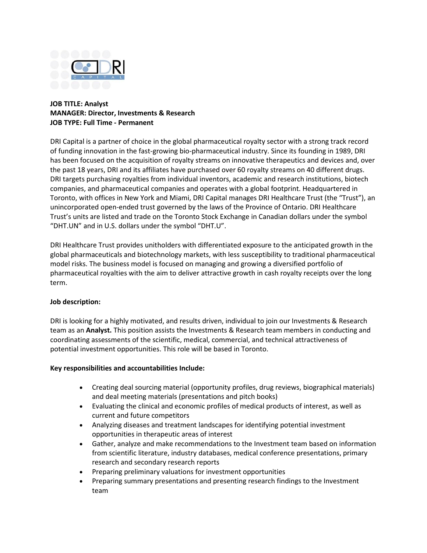

## **JOB TITLE: Analyst MANAGER: Director, Investments & Research JOB TYPE: Full Time - Permanent**

DRI Capital is a partner of choice in the global pharmaceutical royalty sector with a strong track record of funding innovation in the fast-growing bio-pharmaceutical industry. Since its founding in 1989, DRI has been focused on the acquisition of royalty streams on innovative therapeutics and devices and, over the past 18 years, DRI and its affiliates have purchased over 60 royalty streams on 40 different drugs. DRI targets purchasing royalties from individual inventors, academic and research institutions, biotech companies, and pharmaceutical companies and operates with a global footprint. Headquartered in Toronto, with offices in New York and Miami, DRI Capital manages DRI Healthcare Trust (the "Trust"), an unincorporated open-ended trust governed by the laws of the Province of Ontario. DRI Healthcare Trust's units are listed and trade on the Toronto Stock Exchange in Canadian dollars under the symbol "DHT.UN" and in U.S. dollars under the symbol "DHT.U".

DRI Healthcare Trust provides unitholders with differentiated exposure to the anticipated growth in the global pharmaceuticals and biotechnology markets, with less susceptibility to traditional pharmaceutical model risks. The business model is focused on managing and growing a diversified portfolio of pharmaceutical royalties with the aim to deliver attractive growth in cash royalty receipts over the long term.

## **Job description:**

DRI is looking for a highly motivated, and results driven, individual to join our Investments & Research team as an **Analyst.** This position assists the Investments & Research team members in conducting and coordinating assessments of the scientific, medical, commercial, and technical attractiveness of potential investment opportunities. This role will be based in Toronto.

## **Key responsibilities and accountabilities Include:**

- Creating deal sourcing material (opportunity profiles, drug reviews, biographical materials) and deal meeting materials (presentations and pitch books)
- Evaluating the clinical and economic profiles of medical products of interest, as well as current and future competitors
- Analyzing diseases and treatment landscapes for identifying potential investment opportunities in therapeutic areas of interest
- Gather, analyze and make recommendations to the Investment team based on information from scientific literature, industry databases, medical conference presentations, primary research and secondary research reports
- Preparing preliminary valuations for investment opportunities
- Preparing summary presentations and presenting research findings to the Investment team